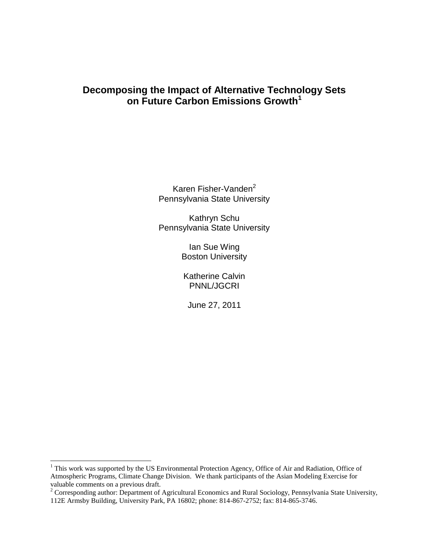# **Decomposing the Impact of Alternative Technology Sets on Future Carbon Emissions Growth<sup>1</sup>**

Karen Fisher-Vanden<sup>2</sup> Pennsylvania State University

Kathryn Schu Pennsylvania State University

> Ian Sue Wing Boston University

Katherine Calvin PNNL/JGCRI

June 27, 2011

 $\overline{\phantom{a}}$ 

 $1$  This work was supported by the US Environmental Protection Agency, Office of Air and Radiation, Office of Atmospheric Programs, Climate Change Division. We thank participants of the Asian Modeling Exercise for valuable comments on a previous draft.

<sup>&</sup>lt;sup>2</sup> Corresponding author: Department of Agricultural Economics and Rural Sociology, Pennsylvania State University, 112E Armsby Building, University Park, PA 16802; phone: 814-867-2752; fax: 814-865-3746.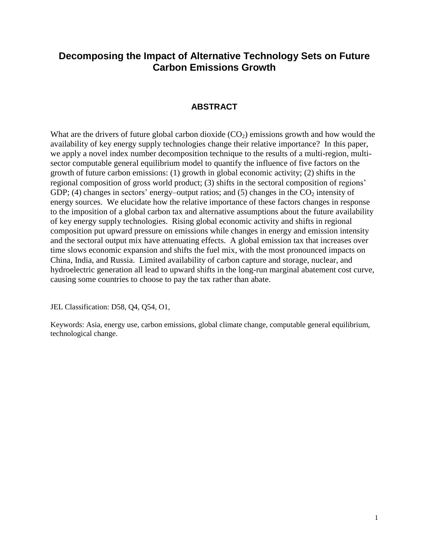# **Decomposing the Impact of Alternative Technology Sets on Future Carbon Emissions Growth**

## **ABSTRACT**

What are the drivers of future global carbon dioxide  $(CO<sub>2</sub>)$  emissions growth and how would the availability of key energy supply technologies change their relative importance? In this paper, we apply a novel index number decomposition technique to the results of a multi-region, multisector computable general equilibrium model to quantify the influence of five factors on the growth of future carbon emissions: (1) growth in global economic activity; (2) shifts in the regional composition of gross world product; (3) shifts in the sectoral composition of regions' GDP; (4) changes in sectors' energy–output ratios; and (5) changes in the  $CO<sub>2</sub>$  intensity of energy sources. We elucidate how the relative importance of these factors changes in response to the imposition of a global carbon tax and alternative assumptions about the future availability of key energy supply technologies. Rising global economic activity and shifts in regional composition put upward pressure on emissions while changes in energy and emission intensity and the sectoral output mix have attenuating effects. A global emission tax that increases over time slows economic expansion and shifts the fuel mix, with the most pronounced impacts on China, India, and Russia. Limited availability of carbon capture and storage, nuclear, and hydroelectric generation all lead to upward shifts in the long-run marginal abatement cost curve, causing some countries to choose to pay the tax rather than abate.

JEL Classification: D58, Q4, Q54, O1,

Keywords: Asia, energy use, carbon emissions, global climate change, computable general equilibrium, technological change.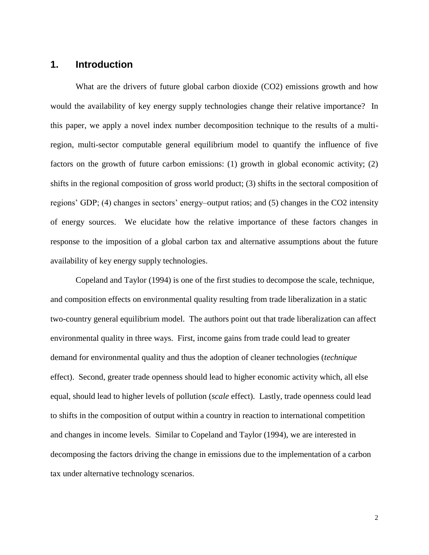## **1. Introduction**

What are the drivers of future global carbon dioxide (CO2) emissions growth and how would the availability of key energy supply technologies change their relative importance? In this paper, we apply a novel index number decomposition technique to the results of a multiregion, multi-sector computable general equilibrium model to quantify the influence of five factors on the growth of future carbon emissions: (1) growth in global economic activity; (2) shifts in the regional composition of gross world product; (3) shifts in the sectoral composition of regions' GDP; (4) changes in sectors' energy–output ratios; and (5) changes in the CO2 intensity of energy sources. We elucidate how the relative importance of these factors changes in response to the imposition of a global carbon tax and alternative assumptions about the future availability of key energy supply technologies.

Copeland and Taylor (1994) is one of the first studies to decompose the scale, technique, and composition effects on environmental quality resulting from trade liberalization in a static two-country general equilibrium model. The authors point out that trade liberalization can affect environmental quality in three ways. First, income gains from trade could lead to greater demand for environmental quality and thus the adoption of cleaner technologies (*technique* effect). Second, greater trade openness should lead to higher economic activity which, all else equal, should lead to higher levels of pollution (*scale* effect). Lastly, trade openness could lead to shifts in the composition of output within a country in reaction to international competition and changes in income levels. Similar to Copeland and Taylor (1994), we are interested in decomposing the factors driving the change in emissions due to the implementation of a carbon tax under alternative technology scenarios.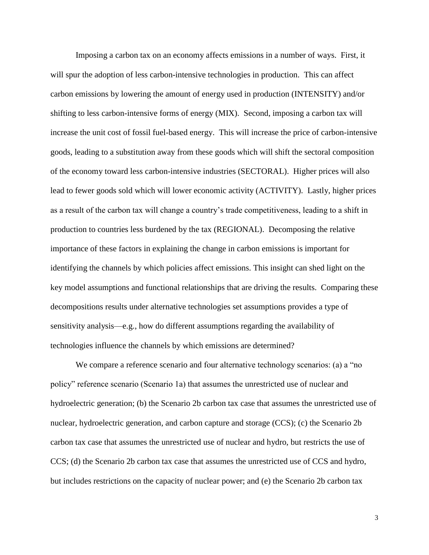Imposing a carbon tax on an economy affects emissions in a number of ways. First, it will spur the adoption of less carbon-intensive technologies in production. This can affect carbon emissions by lowering the amount of energy used in production (INTENSITY) and/or shifting to less carbon-intensive forms of energy (MIX). Second, imposing a carbon tax will increase the unit cost of fossil fuel-based energy. This will increase the price of carbon-intensive goods, leading to a substitution away from these goods which will shift the sectoral composition of the economy toward less carbon-intensive industries (SECTORAL). Higher prices will also lead to fewer goods sold which will lower economic activity (ACTIVITY). Lastly, higher prices as a result of the carbon tax will change a country's trade competitiveness, leading to a shift in production to countries less burdened by the tax (REGIONAL). Decomposing the relative importance of these factors in explaining the change in carbon emissions is important for identifying the channels by which policies affect emissions. This insight can shed light on the key model assumptions and functional relationships that are driving the results. Comparing these decompositions results under alternative technologies set assumptions provides a type of sensitivity analysis—e.g., how do different assumptions regarding the availability of technologies influence the channels by which emissions are determined?

We compare a reference scenario and four alternative technology scenarios: (a) a "no policy‖ reference scenario (Scenario 1a) that assumes the unrestricted use of nuclear and hydroelectric generation; (b) the Scenario 2b carbon tax case that assumes the unrestricted use of nuclear, hydroelectric generation, and carbon capture and storage (CCS); (c) the Scenario 2b carbon tax case that assumes the unrestricted use of nuclear and hydro, but restricts the use of CCS; (d) the Scenario 2b carbon tax case that assumes the unrestricted use of CCS and hydro, but includes restrictions on the capacity of nuclear power; and (e) the Scenario 2b carbon tax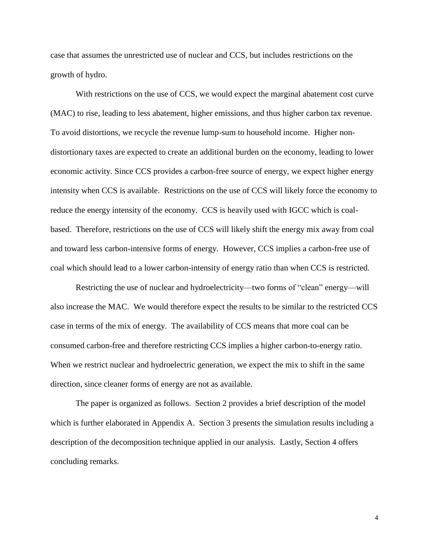case that assumes the unrestricted use of nuclear and CCS, but includes restrictions on the growth of hydro.

With restrictions on the use of CCS, we would expect the marginal abatement cost curve (MAC) to rise, leading to less abatement, higher emissions, and thus higher carbon tax revenue. To avoid distortions, we recycle the revenue lump-sum to household income. Higher nondistortionary taxes are expected to create an additional burden on the economy, leading to lower economic activity. Since CCS provides a carbon-free source of energy, we expect higher energy intensity when CCS is available. Restrictions on the use of CCS will likely force the economy to reduce the energy intensity of the economy. CCS is heavily used with IGCC which is coalbased. Therefore, restrictions on the use of CCS will likely shift the energy mix away from coal and toward less carbon-intensive forms of energy. However, CCS implies a carbon-free use of coal which should lead to a lower carbon-intensity of energy ratio than when CCS is restricted.

Restricting the use of nuclear and hydroelectricity—two forms of "clean" energy—will also increase the MAC. We would therefore expect the results to be similar to the restricted CCS case in terms of the mix of energy. The availability of CCS means that more coal can be consumed carbon-free and therefore restricting CCS implies a higher carbon-to-energy ratio. When we restrict nuclear and hydroelectric generation, we expect the mix to shift in the same direction, since cleaner forms of energy are not as available.

The paper is organized as follows. Section 2 provides a brief description of the model which is further elaborated in Appendix A. Section 3 presents the simulation results including a description of the decomposition technique applied in our analysis. Lastly, Section 4 offers concluding remarks.

4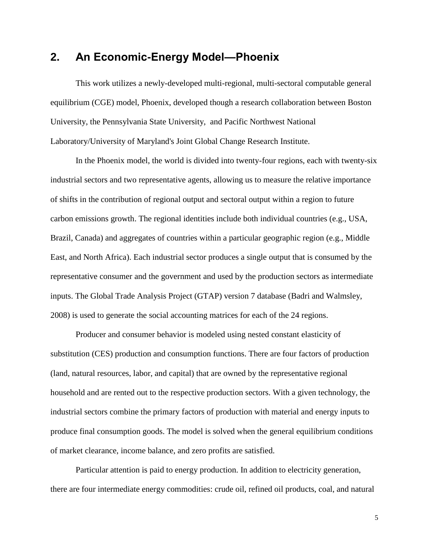# **2. An Economic-Energy Model—Phoenix**

This work utilizes a newly-developed multi-regional, multi-sectoral computable general equilibrium (CGE) model, Phoenix, developed though a research collaboration between Boston University, the Pennsylvania State University, and Pacific Northwest National Laboratory/University of Maryland's Joint Global Change Research Institute.

In the Phoenix model, the world is divided into twenty-four regions, each with twenty-six industrial sectors and two representative agents, allowing us to measure the relative importance of shifts in the contribution of regional output and sectoral output within a region to future carbon emissions growth. The regional identities include both individual countries (e.g., USA, Brazil, Canada) and aggregates of countries within a particular geographic region (e.g., Middle East, and North Africa). Each industrial sector produces a single output that is consumed by the representative consumer and the government and used by the production sectors as intermediate inputs. The Global Trade Analysis Project (GTAP) version 7 database (Badri and Walmsley, 2008) is used to generate the social accounting matrices for each of the 24 regions.

Producer and consumer behavior is modeled using nested constant elasticity of substitution (CES) production and consumption functions. There are four factors of production (land, natural resources, labor, and capital) that are owned by the representative regional household and are rented out to the respective production sectors. With a given technology, the industrial sectors combine the primary factors of production with material and energy inputs to produce final consumption goods. The model is solved when the general equilibrium conditions of market clearance, income balance, and zero profits are satisfied.

Particular attention is paid to energy production. In addition to electricity generation, there are four intermediate energy commodities: crude oil, refined oil products, coal, and natural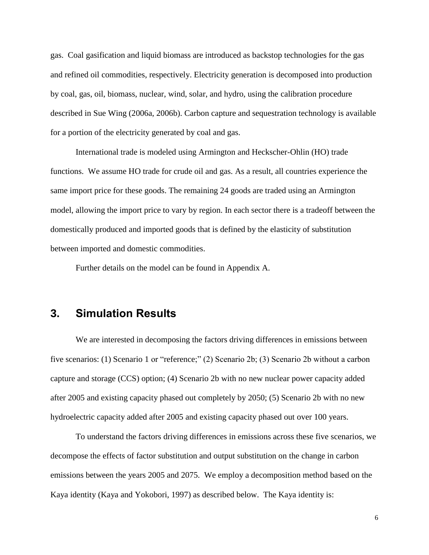gas. Coal gasification and liquid biomass are introduced as backstop technologies for the gas and refined oil commodities, respectively. Electricity generation is decomposed into production by coal, gas, oil, biomass, nuclear, wind, solar, and hydro, using the calibration procedure described in Sue Wing (2006a, 2006b). Carbon capture and sequestration technology is available for a portion of the electricity generated by coal and gas.

International trade is modeled using Armington and Heckscher-Ohlin (HO) trade functions. We assume HO trade for crude oil and gas. As a result, all countries experience the same import price for these goods. The remaining 24 goods are traded using an Armington model, allowing the import price to vary by region. In each sector there is a tradeoff between the domestically produced and imported goods that is defined by the elasticity of substitution between imported and domestic commodities.

Further details on the model can be found in Appendix A.

# **3. Simulation Results**

We are interested in decomposing the factors driving differences in emissions between five scenarios: (1) Scenario 1 or "reference;" (2) Scenario 2b; (3) Scenario 2b without a carbon capture and storage (CCS) option; (4) Scenario 2b with no new nuclear power capacity added after 2005 and existing capacity phased out completely by 2050; (5) Scenario 2b with no new hydroelectric capacity added after 2005 and existing capacity phased out over 100 years.

To understand the factors driving differences in emissions across these five scenarios, we decompose the effects of factor substitution and output substitution on the change in carbon emissions between the years 2005 and 2075. We employ a decomposition method based on the Kaya identity (Kaya and Yokobori, 1997) as described below. The Kaya identity is: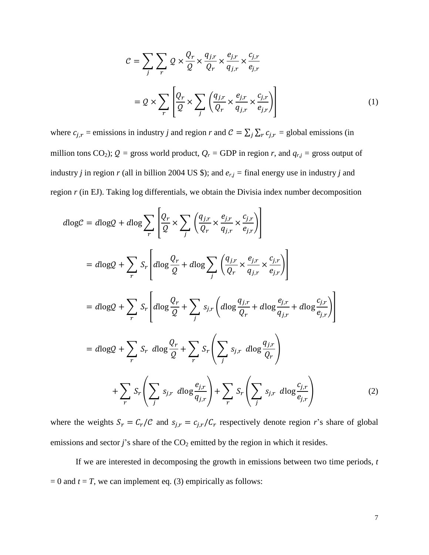$$
\mathcal{C} = \sum_{j} \sum_{r} \mathcal{Q} \times \frac{\mathcal{Q}_r}{\mathcal{Q}} \times \frac{q_{j,r}}{\mathcal{Q}_r} \times \frac{e_{j,r}}{q_{j,r}} \times \frac{c_{j,r}}{e_{j,r}}
$$

$$
= \mathcal{Q} \times \sum_{r} \left[ \frac{\mathcal{Q}_r}{\mathcal{Q}} \times \sum_{j} \left( \frac{q_{j,r}}{\mathcal{Q}_r} \times \frac{e_{j,r}}{q_{j,r}} \times \frac{c_{j,r}}{e_{j,r}} \right) \right]
$$
(1)

where  $c_{j,r}$  = emissions in industry *j* and region *r* and  $C = \sum_j \sum_r c_{j,r}$  = global emissions (in million tons CO<sub>2</sub>);  $Q =$  gross world product,  $Q_r =$  GDP in region *r*, and  $q_{r,j} =$  gross output of industry *j* in region *r* (all in billion 2004 US \$); and  $e_{r,j}$  = final energy use in industry *j* and region *r* (in EJ). Taking log differentials, we obtain the Divisia index number decomposition

$$
d\log C = d\log Q + d\log \sum_{r} \left[ \frac{Q_r}{Q} \times \sum_{j} \left( \frac{q_{j,r}}{Q_r} \times \frac{e_{j,r}}{q_{j,r}} \times \frac{c_{j,r}}{e_{j,r}} \right) \right]
$$
  
\n
$$
= d\log Q + \sum_{r} S_r \left[ d\log \frac{Q_r}{Q} + d\log \sum_{j} \left( \frac{q_{j,r}}{Q_r} \times \frac{e_{j,r}}{q_{j,r}} \times \frac{c_{j,r}}{e_{j,r}} \right) \right]
$$
  
\n
$$
= d\log Q + \sum_{r} S_r \left[ d\log \frac{Q_r}{Q} + \sum_{j} s_{j,r} \left( d\log \frac{q_{j,r}}{Q_r} + d\log \frac{e_{j,r}}{q_{j,r}} + d\log \frac{c_{j,r}}{e_{j,r}} \right) \right]
$$
  
\n
$$
= d\log Q + \sum_{r} S_r d\log \frac{Q_r}{Q} + \sum_{r} S_r \left( \sum_{j} s_{j,r} d\log \frac{q_{j,r}}{Q_r} \right)
$$
  
\n
$$
+ \sum_{r} S_r \left( \sum_{j} s_{j,r} d\log \frac{e_{j,r}}{q_{j,r}} \right) + \sum_{r} S_r \left( \sum_{j} s_{j,r} d\log \frac{c_{j,r}}{e_{j,r}} \right)
$$
(2)

where the weights  $S_r = C_r/C$  and  $S_{ir} = c_{ir}/C_r$  respectively denote region *r*'s share of global emissions and sector  $j$ 's share of the  $CO_2$  emitted by the region in which it resides.

If we are interested in decomposing the growth in emissions between two time periods, *t*  $= 0$  and  $t = T$ , we can implement eq. (3) empirically as follows: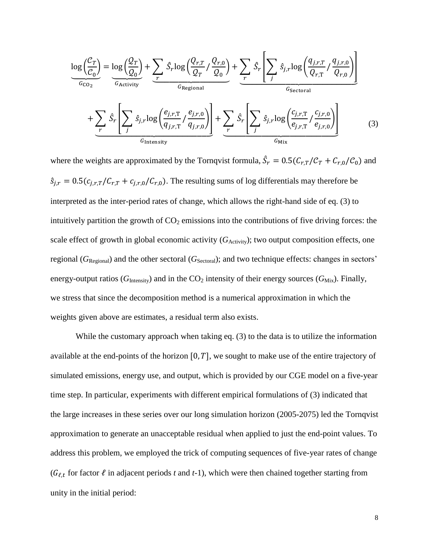$$
\frac{\log\left(\frac{\mathcal{C}_T}{\mathcal{C}_0}\right)}{\frac{G_{\text{CO}_2}}{\mathcal{C}_{\text{Activity}}}} = \frac{\log\left(\frac{Q_T}{Q_0}\right) + \sum_r \hat{S}_r \log\left(\frac{Q_{r,T}}{Q_T} / \frac{Q_{r,0}}{Q_0}\right)}{\frac{G_{\text{Regional}}}{\mathcal{C}_{\text{Regional}}}} + \sum_r \hat{S}_r \left[\sum_j \hat{S}_{j,r} \log\left(\frac{q_{j,r,T}}{Q_{r,0}} / \frac{q_{j,r,0}}{Q_{r,0}}\right)\right]
$$

$$
+ \sum_r \hat{S}_r \left[\sum_j \hat{S}_{j,r} \log\left(\frac{e_{j,r,T}}{q_{j,r,T}} / \frac{e_{j,r,0}}{q_{j,r,0}}\right)\right] + \sum_r \hat{S}_r \left[\sum_j \hat{S}_{j,r} \log\left(\frac{c_{j,r,T}}{e_{j,r,T}} / \frac{c_{j,r,0}}{e_{j,r,0}}\right)\right]
$$
(3)

where the weights are approximated by the Tornqvist formula,  $\hat{S}_r = 0.5(C_{r,T}/C_T + C_{r,0}/C_0)$  and  $\hat{s}_{j,r} = 0.5(c_{j,r,T}/C_{r,T} + c_{j,r,0}/C_{r,0})$ . The resulting sums of log differentials may therefore be interpreted as the inter-period rates of change, which allows the right-hand side of eq. (3) to intuitively partition the growth of  $CO<sub>2</sub>$  emissions into the contributions of five driving forces: the scale effect of growth in global economic activity  $(G_{\text{Activity}})$ ; two output composition effects, one regional (*G*<sub>Regional</sub>) and the other sectoral (*G*<sub>Sectoral</sub>); and two technique effects: changes in sectors' energy-output ratios ( $G<sub>Intensity</sub>$ ) and in the  $CO<sub>2</sub>$  intensity of their energy sources ( $G<sub>Mix</sub>$ ). Finally, we stress that since the decomposition method is a numerical approximation in which the weights given above are estimates, a residual term also exists.

While the customary approach when taking eq. (3) to the data is to utilize the information available at the end-points of the horizon  $[0, T]$ , we sought to make use of the entire trajectory of simulated emissions, energy use, and output, which is provided by our CGE model on a five-year time step. In particular, experiments with different empirical formulations of (3) indicated that the large increases in these series over our long simulation horizon (2005-2075) led the Tornqvist approximation to generate an unacceptable residual when applied to just the end-point values. To address this problem, we employed the trick of computing sequences of five-year rates of change ( $G_{\ell,t}$  for factor  $\ell$  in adjacent periods t and t-1), which were then chained together starting from unity in the initial period: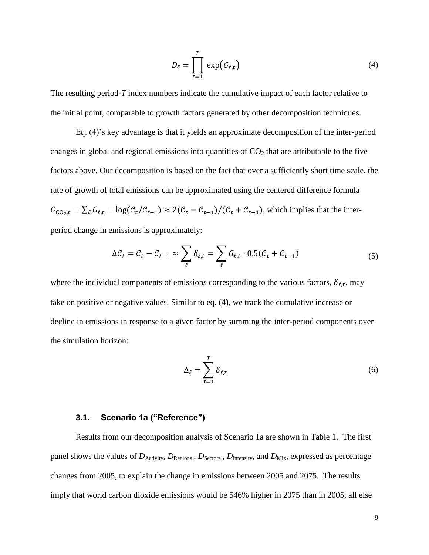$$
D_{\ell} = \prod_{t=1}^{T} \exp(G_{\ell,t})
$$
 (4)

The resulting period-*T* index numbers indicate the cumulative impact of each factor relative to the initial point, comparable to growth factors generated by other decomposition techniques.

Eq. (4)'s key advantage is that it yields an approximate decomposition of the inter-period changes in global and regional emissions into quantities of  $CO<sub>2</sub>$  that are attributable to the five factors above. Our decomposition is based on the fact that over a sufficiently short time scale, the rate of growth of total emissions can be approximated using the centered difference formula  $G_{CO_2,t} = \sum_{\ell} G_{\ell,t} = \log(\mathcal{C}_t/\mathcal{C}_{t-1}) \approx 2(\mathcal{C}_t - \mathcal{C}_{t-1})/(\mathcal{C}_t + \mathcal{C}_{t-1})$ , which implies that the interperiod change in emissions is approximately:

$$
\Delta \mathcal{C}_t = \mathcal{C}_t - \mathcal{C}_{t-1} \approx \sum_{\ell} \delta_{\ell, t} = \sum_{\ell} G_{\ell, t} \cdot 0.5(\mathcal{C}_t + \mathcal{C}_{t-1})
$$
(5)

where the individual components of emissions corresponding to the various factors,  $\delta_{\ell,t}$ , may take on positive or negative values. Similar to eq. (4), we track the cumulative increase or decline in emissions in response to a given factor by summing the inter-period components over the simulation horizon:

$$
\Delta_{\ell} = \sum_{t=1}^{T} \delta_{\ell, t} \tag{6}
$$

### **3.1. Scenario 1a ("Reference")**

Results from our decomposition analysis of Scenario 1a are shown in Table 1. The first panel shows the values of  $D_{\text{Activity}}$ ,  $D_{\text{Regional}}$ ,  $D_{\text{Section}}$ ,  $D_{\text{Intensity}}$ , and  $D_{\text{Mix}}$ , expressed as percentage changes from 2005, to explain the change in emissions between 2005 and 2075. The results imply that world carbon dioxide emissions would be 546% higher in 2075 than in 2005, all else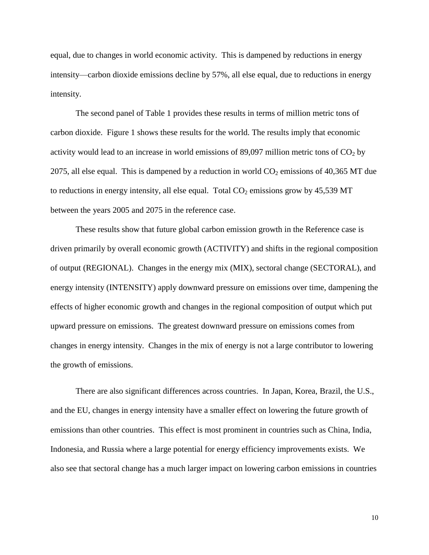equal, due to changes in world economic activity. This is dampened by reductions in energy intensity—carbon dioxide emissions decline by 57%, all else equal, due to reductions in energy intensity.

The second panel of Table 1 provides these results in terms of million metric tons of carbon dioxide. Figure 1 shows these results for the world. The results imply that economic activity would lead to an increase in world emissions of 89,097 million metric tons of  $CO<sub>2</sub>$  by 2075, all else equal. This is dampened by a reduction in world  $CO<sub>2</sub>$  emissions of 40,365 MT due to reductions in energy intensity, all else equal. Total  $CO<sub>2</sub>$  emissions grow by 45,539 MT between the years 2005 and 2075 in the reference case.

These results show that future global carbon emission growth in the Reference case is driven primarily by overall economic growth (ACTIVITY) and shifts in the regional composition of output (REGIONAL). Changes in the energy mix (MIX), sectoral change (SECTORAL), and energy intensity (INTENSITY) apply downward pressure on emissions over time, dampening the effects of higher economic growth and changes in the regional composition of output which put upward pressure on emissions. The greatest downward pressure on emissions comes from changes in energy intensity. Changes in the mix of energy is not a large contributor to lowering the growth of emissions.

There are also significant differences across countries. In Japan, Korea, Brazil, the U.S., and the EU, changes in energy intensity have a smaller effect on lowering the future growth of emissions than other countries. This effect is most prominent in countries such as China, India, Indonesia, and Russia where a large potential for energy efficiency improvements exists. We also see that sectoral change has a much larger impact on lowering carbon emissions in countries

10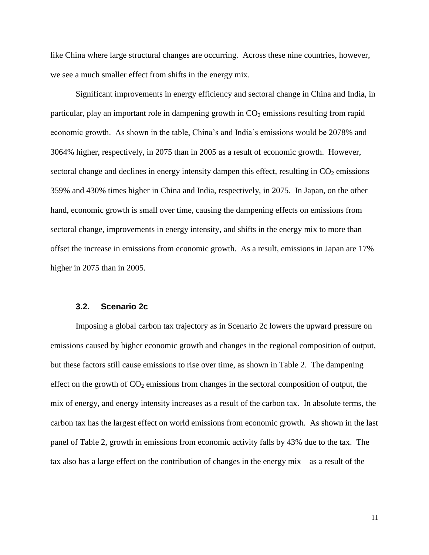like China where large structural changes are occurring. Across these nine countries, however, we see a much smaller effect from shifts in the energy mix.

Significant improvements in energy efficiency and sectoral change in China and India, in particular, play an important role in dampening growth in  $CO<sub>2</sub>$  emissions resulting from rapid economic growth. As shown in the table, China's and India's emissions would be 2078% and 3064% higher, respectively, in 2075 than in 2005 as a result of economic growth. However, sectoral change and declines in energy intensity dampen this effect, resulting in  $CO<sub>2</sub>$  emissions 359% and 430% times higher in China and India, respectively, in 2075. In Japan, on the other hand, economic growth is small over time, causing the dampening effects on emissions from sectoral change, improvements in energy intensity, and shifts in the energy mix to more than offset the increase in emissions from economic growth. As a result, emissions in Japan are 17% higher in 2075 than in 2005.

### **3.2. Scenario 2c**

Imposing a global carbon tax trajectory as in Scenario 2c lowers the upward pressure on emissions caused by higher economic growth and changes in the regional composition of output, but these factors still cause emissions to rise over time, as shown in Table 2. The dampening effect on the growth of  $CO<sub>2</sub>$  emissions from changes in the sectoral composition of output, the mix of energy, and energy intensity increases as a result of the carbon tax. In absolute terms, the carbon tax has the largest effect on world emissions from economic growth. As shown in the last panel of Table 2, growth in emissions from economic activity falls by 43% due to the tax. The tax also has a large effect on the contribution of changes in the energy mix—as a result of the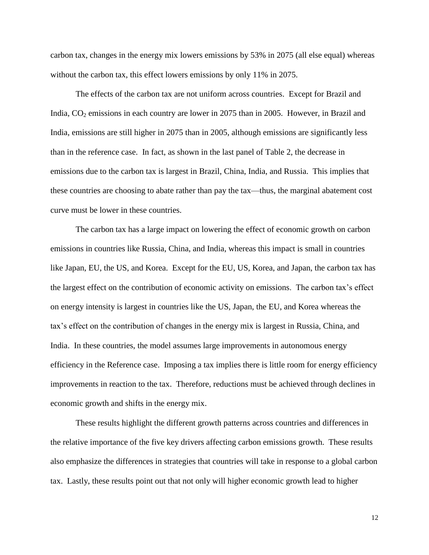carbon tax, changes in the energy mix lowers emissions by 53% in 2075 (all else equal) whereas without the carbon tax, this effect lowers emissions by only 11% in 2075.

The effects of the carbon tax are not uniform across countries. Except for Brazil and India,  $CO<sub>2</sub>$  emissions in each country are lower in 2075 than in 2005. However, in Brazil and India, emissions are still higher in 2075 than in 2005, although emissions are significantly less than in the reference case. In fact, as shown in the last panel of Table 2, the decrease in emissions due to the carbon tax is largest in Brazil, China, India, and Russia. This implies that these countries are choosing to abate rather than pay the tax—thus, the marginal abatement cost curve must be lower in these countries.

The carbon tax has a large impact on lowering the effect of economic growth on carbon emissions in countries like Russia, China, and India, whereas this impact is small in countries like Japan, EU, the US, and Korea. Except for the EU, US, Korea, and Japan, the carbon tax has the largest effect on the contribution of economic activity on emissions. The carbon tax's effect on energy intensity is largest in countries like the US, Japan, the EU, and Korea whereas the tax's effect on the contribution of changes in the energy mix is largest in Russia, China, and India. In these countries, the model assumes large improvements in autonomous energy efficiency in the Reference case. Imposing a tax implies there is little room for energy efficiency improvements in reaction to the tax. Therefore, reductions must be achieved through declines in economic growth and shifts in the energy mix.

These results highlight the different growth patterns across countries and differences in the relative importance of the five key drivers affecting carbon emissions growth. These results also emphasize the differences in strategies that countries will take in response to a global carbon tax. Lastly, these results point out that not only will higher economic growth lead to higher

12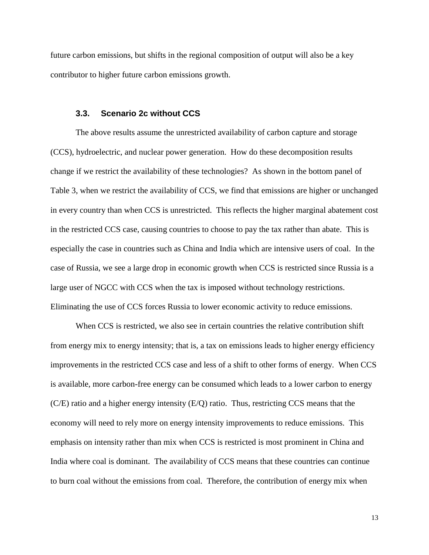future carbon emissions, but shifts in the regional composition of output will also be a key contributor to higher future carbon emissions growth.

#### **3.3. Scenario 2c without CCS**

The above results assume the unrestricted availability of carbon capture and storage (CCS), hydroelectric, and nuclear power generation. How do these decomposition results change if we restrict the availability of these technologies? As shown in the bottom panel of Table 3, when we restrict the availability of CCS, we find that emissions are higher or unchanged in every country than when CCS is unrestricted. This reflects the higher marginal abatement cost in the restricted CCS case, causing countries to choose to pay the tax rather than abate. This is especially the case in countries such as China and India which are intensive users of coal. In the case of Russia, we see a large drop in economic growth when CCS is restricted since Russia is a large user of NGCC with CCS when the tax is imposed without technology restrictions. Eliminating the use of CCS forces Russia to lower economic activity to reduce emissions.

When CCS is restricted, we also see in certain countries the relative contribution shift from energy mix to energy intensity; that is, a tax on emissions leads to higher energy efficiency improvements in the restricted CCS case and less of a shift to other forms of energy. When CCS is available, more carbon-free energy can be consumed which leads to a lower carbon to energy (C/E) ratio and a higher energy intensity (E/Q) ratio. Thus, restricting CCS means that the economy will need to rely more on energy intensity improvements to reduce emissions. This emphasis on intensity rather than mix when CCS is restricted is most prominent in China and India where coal is dominant. The availability of CCS means that these countries can continue to burn coal without the emissions from coal. Therefore, the contribution of energy mix when

13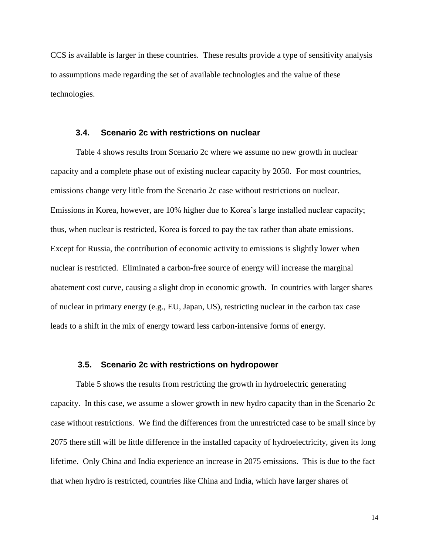CCS is available is larger in these countries. These results provide a type of sensitivity analysis to assumptions made regarding the set of available technologies and the value of these technologies.

### **3.4. Scenario 2c with restrictions on nuclear**

Table 4 shows results from Scenario 2c where we assume no new growth in nuclear capacity and a complete phase out of existing nuclear capacity by 2050. For most countries, emissions change very little from the Scenario 2c case without restrictions on nuclear. Emissions in Korea, however, are 10% higher due to Korea's large installed nuclear capacity; thus, when nuclear is restricted, Korea is forced to pay the tax rather than abate emissions. Except for Russia, the contribution of economic activity to emissions is slightly lower when nuclear is restricted. Eliminated a carbon-free source of energy will increase the marginal abatement cost curve, causing a slight drop in economic growth. In countries with larger shares of nuclear in primary energy (e.g., EU, Japan, US), restricting nuclear in the carbon tax case leads to a shift in the mix of energy toward less carbon-intensive forms of energy.

### **3.5. Scenario 2c with restrictions on hydropower**

Table 5 shows the results from restricting the growth in hydroelectric generating capacity. In this case, we assume a slower growth in new hydro capacity than in the Scenario 2c case without restrictions. We find the differences from the unrestricted case to be small since by 2075 there still will be little difference in the installed capacity of hydroelectricity, given its long lifetime. Only China and India experience an increase in 2075 emissions. This is due to the fact that when hydro is restricted, countries like China and India, which have larger shares of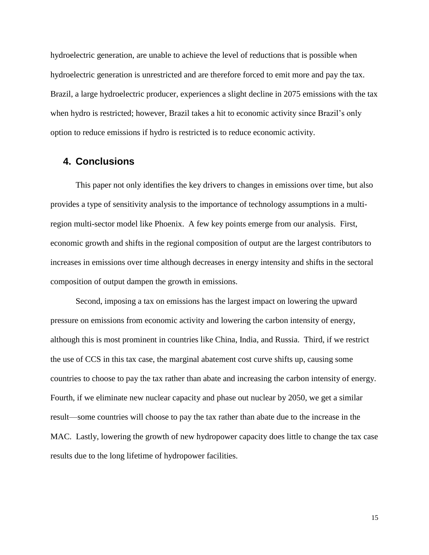hydroelectric generation, are unable to achieve the level of reductions that is possible when hydroelectric generation is unrestricted and are therefore forced to emit more and pay the tax. Brazil, a large hydroelectric producer, experiences a slight decline in 2075 emissions with the tax when hydro is restricted; however, Brazil takes a hit to economic activity since Brazil's only option to reduce emissions if hydro is restricted is to reduce economic activity.

## **4. Conclusions**

This paper not only identifies the key drivers to changes in emissions over time, but also provides a type of sensitivity analysis to the importance of technology assumptions in a multiregion multi-sector model like Phoenix. A few key points emerge from our analysis. First, economic growth and shifts in the regional composition of output are the largest contributors to increases in emissions over time although decreases in energy intensity and shifts in the sectoral composition of output dampen the growth in emissions.

Second, imposing a tax on emissions has the largest impact on lowering the upward pressure on emissions from economic activity and lowering the carbon intensity of energy, although this is most prominent in countries like China, India, and Russia. Third, if we restrict the use of CCS in this tax case, the marginal abatement cost curve shifts up, causing some countries to choose to pay the tax rather than abate and increasing the carbon intensity of energy. Fourth, if we eliminate new nuclear capacity and phase out nuclear by 2050, we get a similar result—some countries will choose to pay the tax rather than abate due to the increase in the MAC. Lastly, lowering the growth of new hydropower capacity does little to change the tax case results due to the long lifetime of hydropower facilities.

15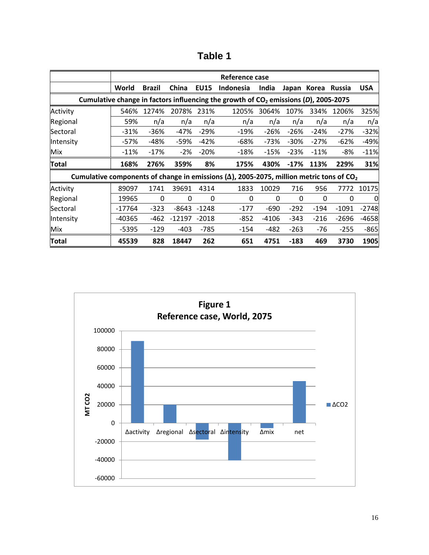|                                                                                                              | Reference case                                                                                  |               |          |             |                  |        |         |             |               |            |
|--------------------------------------------------------------------------------------------------------------|-------------------------------------------------------------------------------------------------|---------------|----------|-------------|------------------|--------|---------|-------------|---------------|------------|
|                                                                                                              | World                                                                                           | <b>Brazil</b> | China    | <b>EU15</b> | <b>Indonesia</b> | India  |         | Japan Korea | <b>Russia</b> | <b>USA</b> |
|                                                                                                              | Cumulative change in factors influencing the growth of CO <sub>2</sub> emissions (D), 2005-2075 |               |          |             |                  |        |         |             |               |            |
| Activity                                                                                                     | 546%                                                                                            | 1274%         | 2078%    | 231%        | 1205%            | 3064%  | 107%    | 334%        | 1206%         | 325%       |
| Regional                                                                                                     | 59%                                                                                             | n/a           | n/a      | n/a         | n/a              | n/a    | n/a     | n/a         | n/a           | n/a        |
| <b>Sectoral</b>                                                                                              | $-31%$                                                                                          | -36%          | $-47%$   | $-29%$      | -19%             | -26%   | $-26%$  | $-24%$      | $-27%$        | $-32%$     |
| Intensity                                                                                                    | -57%                                                                                            | -48%          | -59%     | $-42%$      | -68%             | -73%   | $-30\%$ | $-27%$      | -62%          | $-49%$     |
| Mix                                                                                                          | $-11%$                                                                                          | $-17%$        | -2%      | $-20%$      | -18%             | $-15%$ | -23%    | $-11%$      | -8%           | $-11%$     |
| Total                                                                                                        | 168%                                                                                            | 276%          | 359%     | 8%          | 175%             | 430%   | $-17%$  | 113%        | 229%          | 31%        |
| Cumulative components of change in emissions ( $\Delta$ ), 2005-2075, million metric tons of CO <sub>2</sub> |                                                                                                 |               |          |             |                  |        |         |             |               |            |
| Activity                                                                                                     | 89097                                                                                           | 1741          | 39691    | 4314        | 1833             | 10029  | 716     | 956         | 7772          | 10175      |
| Regional                                                                                                     | 19965                                                                                           | 0             | 0        | 0           | 0                | 0      | 0       | $\Omega$    | 0             | 0          |
| <b>Sectoral</b>                                                                                              | $-17764$                                                                                        | $-323$        | $-8643$  | -1248       | -177             | $-690$ | $-292$  | $-194$      | $-1091$       | $-2748$    |
| Intensity                                                                                                    | -40365                                                                                          | -462          | $-12197$ | $-2018$     | -852             | -4106  | -343    | $-216$      | $-2696$       | $-4658$    |
| Mix                                                                                                          | -5395                                                                                           | $-129$        | $-403$   | -785        | -154             | $-482$ | $-263$  | -76         | $-255$        | $-865$     |
| <b>Total</b>                                                                                                 | 45539                                                                                           | 828           | 18447    | 262         | 651              | 4751   | $-183$  | 469         | 3730          | 1905       |

**Table 1**

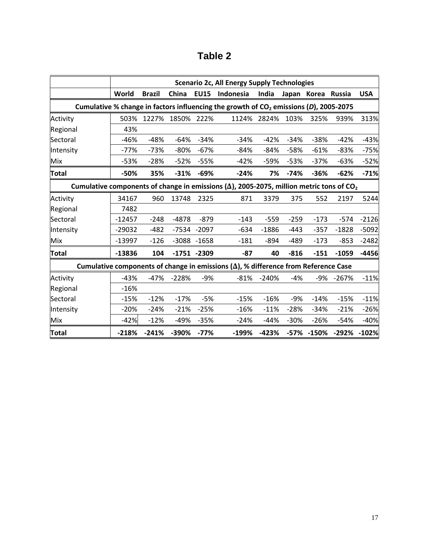| able |  |
|------|--|
|------|--|

|              | <b>Scenario 2c, All Energy Supply Technologies</b>                                                           |               |         |                |                                                                                            |         |        |             |               |            |
|--------------|--------------------------------------------------------------------------------------------------------------|---------------|---------|----------------|--------------------------------------------------------------------------------------------|---------|--------|-------------|---------------|------------|
|              | World                                                                                                        | <b>Brazil</b> | China   | <b>EU15</b>    | Indonesia                                                                                  | India   |        | Japan Korea | <b>Russia</b> | <b>USA</b> |
|              |                                                                                                              |               |         |                | Cumulative % change in factors influencing the growth of $CO2$ emissions (D), 2005-2075    |         |        |             |               |            |
| Activity     | 503%                                                                                                         | 1227%         | 1850%   | 222%           | 1124%                                                                                      | 2824%   | 103%   | 325%        | 939%          | 313%       |
| Regional     | 43%                                                                                                          |               |         |                |                                                                                            |         |        |             |               |            |
| Sectoral     | $-46%$                                                                                                       | $-48%$        | $-64%$  | $-34%$         | $-34%$                                                                                     | $-42%$  | $-34%$ | $-38%$      | $-42%$        | $-43%$     |
| Intensity    | $-77%$                                                                                                       | $-73%$        | $-80%$  | $-67%$         | $-84%$                                                                                     | $-84%$  | $-58%$ | $-61%$      | $-83%$        | $-75%$     |
| Mix          | $-53%$                                                                                                       | $-28%$        | $-52%$  | $-55%$         | $-42%$                                                                                     | -59%    | $-53%$ | $-37%$      | $-63%$        | $-52%$     |
| <b>Total</b> | -50%                                                                                                         | 35%           | $-31%$  | $-69%$         | $-24%$                                                                                     | 7%      | $-74%$ | $-36%$      | $-62%$        | $-71%$     |
|              | Cumulative components of change in emissions ( $\Delta$ ), 2005-2075, million metric tons of CO <sub>2</sub> |               |         |                |                                                                                            |         |        |             |               |            |
| Activity     | 34167                                                                                                        | 960           | 13748   | 2325           | 871                                                                                        | 3379    | 375    | 552         | 2197          | 5244       |
| Regional     | 7482                                                                                                         |               |         |                |                                                                                            |         |        |             |               |            |
| Sectoral     | $-12457$                                                                                                     | $-248$        | $-4878$ | $-879$         | $-143$                                                                                     | $-559$  | $-259$ | $-173$      | $-574$        | $-2126$    |
| Intensity    | -29032                                                                                                       | $-482$        | $-7534$ | $-2097$        | -634                                                                                       | $-1886$ | -443   | $-357$      | $-1828$       | $-5092$    |
| Mix          | $-13997$                                                                                                     | $-126$        | $-3088$ | $-1658$        | $-181$                                                                                     | $-894$  | $-489$ | $-173$      | $-853$        | $-2482$    |
| <b>Total</b> | $-13836$                                                                                                     | 104           |         | $-1751 - 2309$ | -87                                                                                        | 40      | $-816$ | $-151$      | $-1059$       | $-4456$    |
|              |                                                                                                              |               |         |                | Cumulative components of change in emissions $(\Delta)$ , % difference from Reference Case |         |        |             |               |            |
| Activity     | $-43%$                                                                                                       | $-47%$        | $-228%$ | $-9%$          | $-81%$                                                                                     | $-240%$ | $-4%$  | -9%         | $-267%$       | $-11%$     |
| Regional     | $-16%$                                                                                                       |               |         |                |                                                                                            |         |        |             |               |            |
| Sectoral     | $-15%$                                                                                                       | $-12%$        | $-17%$  | $-5%$          | $-15%$                                                                                     | $-16%$  | $-9%$  | $-14%$      | $-15%$        | $-11%$     |
| Intensity    | $-20%$                                                                                                       | $-24%$        | $-21%$  | $-25%$         | $-16%$                                                                                     | $-11%$  | $-28%$ | $-34%$      | $-21%$        | $-26%$     |
| Mix          | $-42%$                                                                                                       | $-12%$        | $-49%$  | $-35%$         | $-24%$                                                                                     | $-44%$  | $-30%$ | $-26%$      | $-54%$        | $-40%$     |
| Total        | $-218%$                                                                                                      | $-241%$       | -390%   | $-77%$         | $-199%$                                                                                    | $-423%$ |        | -57% -150%  | $-292%$       | $-102%$    |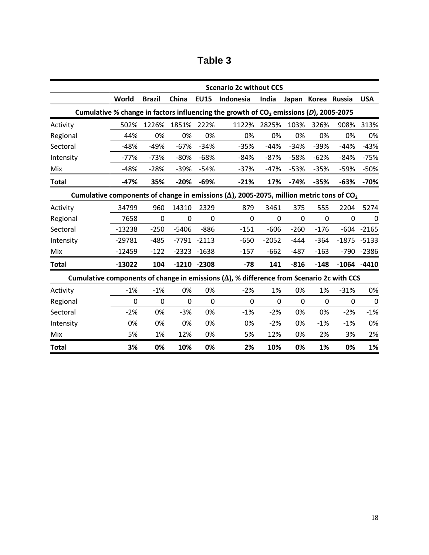| able |  |
|------|--|
|------|--|

|                                                                                                   | <b>Scenario 2c without CCS</b> |               |         |                |                                                                                                              |         |              |                    |          |                  |
|---------------------------------------------------------------------------------------------------|--------------------------------|---------------|---------|----------------|--------------------------------------------------------------------------------------------------------------|---------|--------------|--------------------|----------|------------------|
|                                                                                                   | World                          | <b>Brazil</b> | China   | <b>EU15</b>    | Indonesia                                                                                                    | India   |              | Japan Korea Russia |          | <b>USA</b>       |
|                                                                                                   |                                |               |         |                | Cumulative % change in factors influencing the growth of $CO2$ emissions (D), 2005-2075                      |         |              |                    |          |                  |
| Activity                                                                                          | 502%                           | 1226%         | 1851%   | 222%           | 1122%                                                                                                        | 2825%   | 103%         | 326%               | 908%     | 313%             |
| Regional                                                                                          | 44%                            | 0%            | 0%      | 0%             | 0%                                                                                                           | 0%      | 0%           | 0%                 | 0%       | 0%               |
| Sectoral                                                                                          | $-48%$                         | $-49%$        | $-67%$  | $-34%$         | $-35%$                                                                                                       | $-44%$  | $-34%$       | $-39%$             | $-44%$   | $-43%$           |
| Intensity                                                                                         | $-77%$                         | $-73%$        | $-80%$  | $-68%$         | $-84%$                                                                                                       | $-87%$  | $-58%$       | $-62%$             | $-84%$   | $-75%$           |
| Mix                                                                                               | $-48%$                         | $-28%$        | $-39%$  | $-54%$         | $-37%$                                                                                                       | $-47%$  | $-53%$       | $-35%$             | $-59%$   | $-50%$           |
| <b>Total</b>                                                                                      | $-47%$                         | 35%           | $-20%$  | $-69%$         | $-21%$                                                                                                       | 17%     | $-74%$       | $-35%$             | $-63%$   | $-70%$           |
|                                                                                                   |                                |               |         |                | Cumulative components of change in emissions ( $\Delta$ ), 2005-2075, million metric tons of CO <sub>2</sub> |         |              |                    |          |                  |
| Activity                                                                                          | 34799                          | 960           | 14310   | 2329           | 879                                                                                                          | 3461    | 375          | 555                | 2204     | 5274             |
| Regional                                                                                          | 7658                           | 0             | 0       | 0              | $\Omega$                                                                                                     | 0       | 0            | $\Omega$           | 0        |                  |
| Sectoral                                                                                          | $-13238$                       | $-250$        | $-5406$ | $-886$         | $-151$                                                                                                       | $-606$  | $-260$       | $-176$             | $-604$   | $-2165$          |
| Intensity                                                                                         | $-29781$                       | $-485$        | $-7791$ | $-2113$        | $-650$                                                                                                       | $-2052$ | $-444$       | $-364$             | $-1875$  | $-5133$          |
| Mix                                                                                               | $-12459$                       | $-122$        |         | $-2323 - 1638$ | $-157$                                                                                                       | $-662$  | $-487$       | $-163$             | $-790$   | $-2386$          |
| <b>Total</b>                                                                                      | $-13022$                       | 104           | $-1210$ | $-2308$        | $-78$                                                                                                        | 141     | $-816$       | $-148$             | $-1064$  | $-4410$          |
| Cumulative components of change in emissions ( $\Delta$ ), % difference from Scenario 2c with CCS |                                |               |         |                |                                                                                                              |         |              |                    |          |                  |
| Activity                                                                                          | $-1%$                          | $-1%$         | 0%      | 0%             | $-2%$                                                                                                        | 1%      | 0%           | 1%                 | $-31%$   | 0%               |
| Regional                                                                                          | 0                              | $\Omega$      | 0       | $\Omega$       | $\Omega$                                                                                                     | 0       | $\mathbf{0}$ | $\Omega$           | $\Omega$ | $\boldsymbol{0}$ |
| Sectoral                                                                                          | $-2%$                          | 0%            | $-3%$   | 0%             | $-1%$                                                                                                        | $-2%$   | 0%           | 0%                 | $-2%$    | $-1%$            |
| Intensity                                                                                         | 0%                             | 0%            | 0%      | 0%             | 0%                                                                                                           | $-2%$   | 0%           | $-1%$              | $-1%$    | 0%               |
| <b>Mix</b>                                                                                        | 5%                             | 1%            | 12%     | 0%             | 5%                                                                                                           | 12%     | 0%           | 2%                 | 3%       | 2%               |
| <b>Total</b>                                                                                      | 3%                             | 0%            | 10%     | 0%             | 2%                                                                                                           | 10%     | 0%           | 1%                 | 0%       | 1%               |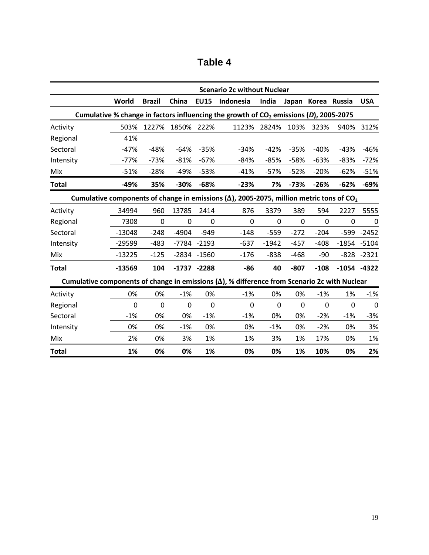| <b>able</b> |  |
|-------------|--|
|-------------|--|

|                                                                                                      | <b>Scenario 2c without Nuclear</b> |               |          |                |                                                                                                              |          |          |                    |         |            |
|------------------------------------------------------------------------------------------------------|------------------------------------|---------------|----------|----------------|--------------------------------------------------------------------------------------------------------------|----------|----------|--------------------|---------|------------|
|                                                                                                      | World                              | <b>Brazil</b> | China    | <b>EU15</b>    | Indonesia                                                                                                    | India    |          | Japan Korea Russia |         | <b>USA</b> |
|                                                                                                      |                                    |               |          |                | Cumulative % change in factors influencing the growth of $CO2$ emissions (D), 2005-2075                      |          |          |                    |         |            |
| Activity                                                                                             | 503%                               | 1227%         | 1850%    | 222%           | 1123%                                                                                                        | 2824%    | 103%     | 323%               | 940%    | 312%       |
| Regional                                                                                             | 41%                                |               |          |                |                                                                                                              |          |          |                    |         |            |
| Sectoral                                                                                             | $-47%$                             | $-48%$        | $-64%$   | $-35%$         | $-34%$                                                                                                       | $-42%$   | $-35%$   | $-40%$             | $-43%$  | $-46%$     |
| Intensity                                                                                            | $-77%$                             | $-73%$        | $-81%$   | $-67%$         | $-84%$                                                                                                       | $-85%$   | $-58%$   | $-63%$             | $-83%$  | $-72%$     |
| Mix                                                                                                  | $-51%$                             | $-28%$        | $-49%$   | $-53%$         | $-41%$                                                                                                       | $-57%$   | $-52%$   | $-20%$             | $-62%$  | $-51%$     |
| <b>Total</b>                                                                                         | $-49%$                             | 35%           | $-30%$   | $-68%$         | $-23%$                                                                                                       | 7%       | $-73%$   | $-26%$             | $-62%$  | $-69%$     |
|                                                                                                      |                                    |               |          |                | Cumulative components of change in emissions ( $\Delta$ ), 2005-2075, million metric tons of CO <sub>2</sub> |          |          |                    |         |            |
| Activity                                                                                             | 34994                              | 960           | 13785    | 2414           | 876                                                                                                          | 3379     | 389      | 594                | 2227    | 5555       |
| Regional                                                                                             | 7308                               | 0             | 0        | 0              | 0                                                                                                            | 0        | 0        | 0                  | 0       | 0          |
| Sectoral                                                                                             | $-13048$                           | $-248$        | $-4904$  | $-949$         | $-148$                                                                                                       | $-559$   | $-272$   | $-204$             | $-599$  | $-2452$    |
| Intensity                                                                                            | $-29599$                           | $-483$        |          | -7784 -2193    | $-637$                                                                                                       | $-1942$  | $-457$   | $-408$             | $-1854$ | $-5104$    |
| Mix                                                                                                  | $-13225$                           | $-125$        |          | $-2834 - 1560$ | $-176$                                                                                                       | $-838$   | $-468$   | $-90$              | $-828$  | $-2321$    |
| Total                                                                                                | $-13569$                           | 104           |          | $-1737 -2288$  | $-86$                                                                                                        | 40       | $-807$   | $-108$             | $-1054$ | $-4322$    |
| Cumulative components of change in emissions $(\Delta)$ , % difference from Scenario 2c with Nuclear |                                    |               |          |                |                                                                                                              |          |          |                    |         |            |
| Activity                                                                                             | 0%                                 | 0%            | $-1%$    | 0%             | $-1%$                                                                                                        | 0%       | 0%       | $-1%$              | 1%      | $-1%$      |
| Regional                                                                                             | $\Omega$                           | $\Omega$      | $\Omega$ | $\Omega$       | $\Omega$                                                                                                     | $\Omega$ | $\Omega$ | 0                  | 0       | $\Omega$   |
| Sectoral                                                                                             | $-1%$                              | 0%            | 0%       | $-1%$          | $-1%$                                                                                                        | 0%       | 0%       | $-2%$              | $-1%$   | $-3%$      |
| Intensity                                                                                            | 0%                                 | 0%            | $-1%$    | 0%             | 0%                                                                                                           | $-1%$    | 0%       | $-2%$              | 0%      | 3%         |
| Mix                                                                                                  | 2%                                 | 0%            | 3%       | 1%             | 1%                                                                                                           | 3%       | 1%       | 17%                | 0%      | 1%         |
| Total                                                                                                | 1%                                 | 0%            | 0%       | 1%             | 0%                                                                                                           | 0%       | 1%       | 10%                | 0%      | 2%         |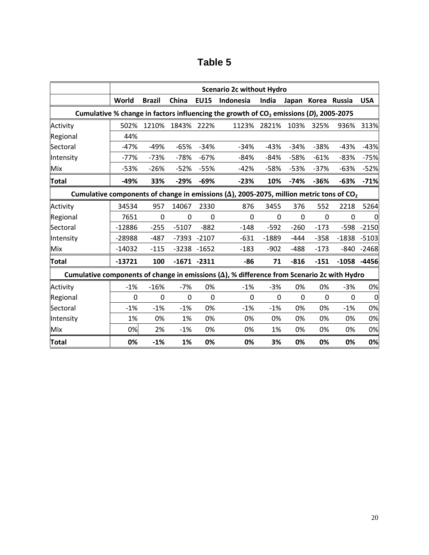| able |  |
|------|--|
|------|--|

|                                                                                                    | <b>Scenario 2c without Hydro</b>                                                        |                |                |                |                                                                                                              |          |             |                    |          |                  |
|----------------------------------------------------------------------------------------------------|-----------------------------------------------------------------------------------------|----------------|----------------|----------------|--------------------------------------------------------------------------------------------------------------|----------|-------------|--------------------|----------|------------------|
|                                                                                                    | World                                                                                   | <b>Brazil</b>  | China          | <b>EU15</b>    | Indonesia                                                                                                    | India    |             | Japan Korea Russia |          | <b>USA</b>       |
|                                                                                                    | Cumulative % change in factors influencing the growth of $CO2$ emissions (D), 2005-2075 |                |                |                |                                                                                                              |          |             |                    |          |                  |
| Activity                                                                                           | 502%                                                                                    | 1210%          | 1843%          | 222%           | 1123%                                                                                                        | 2821%    | 103%        | 325%               | 936%     | 313%             |
| Regional                                                                                           | 44%                                                                                     |                |                |                |                                                                                                              |          |             |                    |          |                  |
| Sectoral                                                                                           | $-47%$                                                                                  | $-49%$         | $-65%$         | $-34%$         | $-34%$                                                                                                       | $-43%$   | $-34%$      | $-38%$             | $-43%$   | $-43%$           |
| Intensity                                                                                          | -77%                                                                                    | $-73%$         | $-78%$         | $-67%$         | -84%                                                                                                         | $-84%$   | $-58%$      | $-61%$             | $-83%$   | -75%             |
| Mix                                                                                                | $-53%$                                                                                  | $-26%$         | $-52%$         | $-55%$         | $-42%$                                                                                                       | $-58%$   | $-53%$      | $-37%$             | $-63%$   | $-52%$           |
| <b>Total</b>                                                                                       | -49%                                                                                    | 33%            | $-29%$         | $-69%$         | $-23%$                                                                                                       | 10%      | $-74%$      | $-36%$             | $-63%$   | $-71%$           |
|                                                                                                    |                                                                                         |                |                |                | Cumulative components of change in emissions ( $\Delta$ ), 2005-2075, million metric tons of CO <sub>2</sub> |          |             |                    |          |                  |
| Activity                                                                                           | 34534                                                                                   | 957            | 14067          | 2330           | 876                                                                                                          | 3455     | 376         | 552                | 2218     | 5264             |
| Regional                                                                                           | 7651                                                                                    | 0              | 0              | $\Omega$       | $\Omega$                                                                                                     | 0        | 0           | 0                  | 0        |                  |
| Sectoral                                                                                           | $-12886$                                                                                | $-255$         | $-5107$        | $-882$         | $-148$                                                                                                       | $-592$   | $-260$      | $-173$             | $-598$   | $-2150$          |
| Intensity                                                                                          | -28988                                                                                  | $-487$         | $-7393$        | $-2107$        | $-631$                                                                                                       | $-1889$  | $-444$      | $-358$             | $-1838$  | $-5103$          |
| Mix                                                                                                | $-14032$                                                                                | $-115$         |                | $-3238 - 1652$ | $-183$                                                                                                       | $-902$   | $-488$      | $-173$             | $-840$   | $-2468$          |
| Total                                                                                              | $-13721$                                                                                | 100            | $-1671$        | $-2311$        | $-86$                                                                                                        | 71       | $-816$      | $-151$             | $-1058$  | $-4456$          |
| Cumulative components of change in emissions $(\Delta)$ , % difference from Scenario 2c with Hydro |                                                                                         |                |                |                |                                                                                                              |          |             |                    |          |                  |
| Activity                                                                                           | $-1%$                                                                                   | $-16%$         | $-7%$          | 0%             | $-1%$                                                                                                        | $-3%$    | 0%          | 0%                 | $-3%$    | 0%               |
| Regional                                                                                           | $\mathbf 0$                                                                             | $\overline{0}$ | $\overline{0}$ | $\mathbf 0$    | $\Omega$                                                                                                     | $\Omega$ | $\mathbf 0$ | $\mathbf 0$        | $\Omega$ | $\boldsymbol{0}$ |
| Sectoral                                                                                           | $-1%$                                                                                   | $-1%$          | $-1%$          | 0%             | $-1%$                                                                                                        | $-1%$    | 0%          | 0%                 | $-1%$    | 0%               |
| Intensity                                                                                          | 1%                                                                                      | 0%             | 1%             | 0%             | 0%                                                                                                           | 0%       | 0%          | 0%                 | 0%       | 0%               |
| Mix                                                                                                | 0%                                                                                      | 2%             | $-1%$          | 0%             | 0%                                                                                                           | 1%       | 0%          | 0%                 | 0%       | 0%               |
| Total                                                                                              | 0%                                                                                      | $-1%$          | 1%             | 0%             | 0%                                                                                                           | 3%       | 0%          | 0%                 | 0%       | 0%               |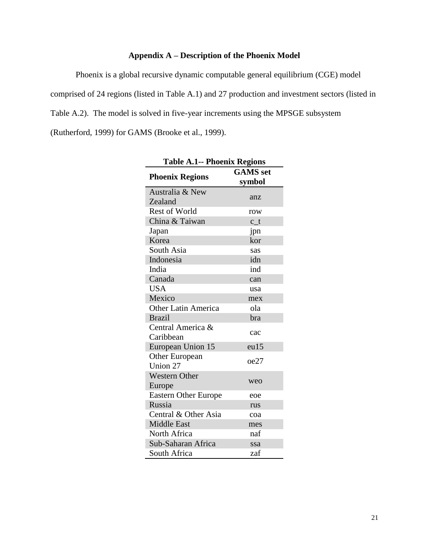## **Appendix A – Description of the Phoenix Model**

<span id="page-21-0"></span>Phoenix is a global recursive dynamic computable general equilibrium (CGE) model comprised of 24 regions (listed in [Table A.1\)](#page-21-0) and 27 production and investment sectors (listed in Table A.2). The model is solved in five-year increments using the MPSGE subsystem (Rutherford, 1999) for GAMS (Brooke et al., 1999).

| <b>Table A.1-- Phoenix Regions</b> |                 |  |  |  |  |  |  |
|------------------------------------|-----------------|--|--|--|--|--|--|
|                                    | <b>GAMS</b> set |  |  |  |  |  |  |
| <b>Phoenix Regions</b>             | symbol          |  |  |  |  |  |  |
| Australia & New                    |                 |  |  |  |  |  |  |
| Zealand                            | anz             |  |  |  |  |  |  |
| <b>Rest of World</b>               | row             |  |  |  |  |  |  |
| China & Taiwan                     | $c_t$           |  |  |  |  |  |  |
| Japan                              | jpn             |  |  |  |  |  |  |
| Korea                              | kor             |  |  |  |  |  |  |
| South Asia                         | sas             |  |  |  |  |  |  |
| Indonesia                          | idn             |  |  |  |  |  |  |
| India                              | ind             |  |  |  |  |  |  |
| Canada                             | can             |  |  |  |  |  |  |
| <b>USA</b>                         | usa             |  |  |  |  |  |  |
| Mexico                             | mex             |  |  |  |  |  |  |
| <b>Other Latin America</b>         | ola             |  |  |  |  |  |  |
| <b>Brazil</b>                      | bra             |  |  |  |  |  |  |
| Central America &                  | cac             |  |  |  |  |  |  |
| Caribbean                          |                 |  |  |  |  |  |  |
| European Union 15                  | eu15            |  |  |  |  |  |  |
| Other European                     | oe27            |  |  |  |  |  |  |
| Union 27                           |                 |  |  |  |  |  |  |
| <b>Western Other</b>               | weo             |  |  |  |  |  |  |
| Europe                             |                 |  |  |  |  |  |  |
| <b>Eastern Other Europe</b>        | eoe             |  |  |  |  |  |  |
| Russia                             | rus             |  |  |  |  |  |  |
| Central & Other Asia               | coa             |  |  |  |  |  |  |
| <b>Middle East</b>                 | mes             |  |  |  |  |  |  |
| North Africa                       | naf             |  |  |  |  |  |  |
| Sub-Saharan Africa                 | ssa             |  |  |  |  |  |  |
| South Africa                       | zaf             |  |  |  |  |  |  |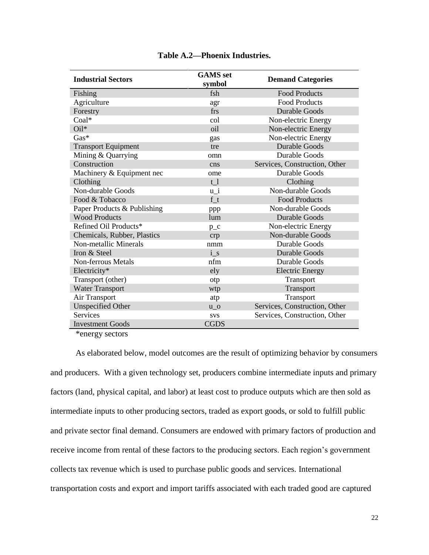| <b>Industrial Sectors</b>   | <b>GAMS</b> set<br>symbol | <b>Demand Categories</b>      |
|-----------------------------|---------------------------|-------------------------------|
| Fishing                     | fsh                       | <b>Food Products</b>          |
| Agriculture                 | agr                       | <b>Food Products</b>          |
| Forestry                    | frs                       | <b>Durable Goods</b>          |
| Coal*                       | col                       | Non-electric Energy           |
| $Oil^*$                     | oil                       | Non-electric Energy           |
| $Gas*$                      | gas                       | Non-electric Energy           |
| <b>Transport Equipment</b>  | tre                       | <b>Durable Goods</b>          |
| Mining & Quarrying          | omn                       | <b>Durable Goods</b>          |
| Construction                | cns                       | Services, Construction, Other |
| Machinery & Equipment nec   | ome                       | <b>Durable Goods</b>          |
| Clothing                    | t <sub>1</sub>            | Clothing                      |
| Non-durable Goods           | $u_i$                     | Non-durable Goods             |
| Food & Tobacco              | ft                        | <b>Food Products</b>          |
| Paper Products & Publishing | ppp                       | Non-durable Goods             |
| <b>Wood Products</b>        | lum                       | <b>Durable Goods</b>          |
| Refined Oil Products*       | $p_{c}$                   | Non-electric Energy           |
| Chemicals, Rubber, Plastics | crp                       | Non-durable Goods             |
| Non-metallic Minerals       | nmm                       | Durable Goods                 |
| Iron & Steel                | $i_s$                     | <b>Durable Goods</b>          |
| Non-ferrous Metals          | nfm                       | Durable Goods                 |
| Electricity*                | ely                       | <b>Electric Energy</b>        |
| Transport (other)           | otp                       | Transport                     |
| <b>Water Transport</b>      | wtp                       | Transport                     |
| Air Transport               | atp                       | Transport                     |
| <b>Unspecified Other</b>    | $u_0$                     | Services, Construction, Other |
| Services                    | <b>SVS</b>                | Services, Construction, Other |
| <b>Investment Goods</b>     | <b>CGDS</b>               |                               |

**Table A.2—Phoenix Industries.** 

\*energy sectors

As elaborated below, model outcomes are the result of optimizing behavior by consumers and producers. With a given technology set, producers combine intermediate inputs and primary factors (land, physical capital, and labor) at least cost to produce outputs which are then sold as intermediate inputs to other producing sectors, traded as export goods, or sold to fulfill public and private sector final demand. Consumers are endowed with primary factors of production and receive income from rental of these factors to the producing sectors. Each region's government collects tax revenue which is used to purchase public goods and services. International transportation costs and export and import tariffs associated with each traded good are captured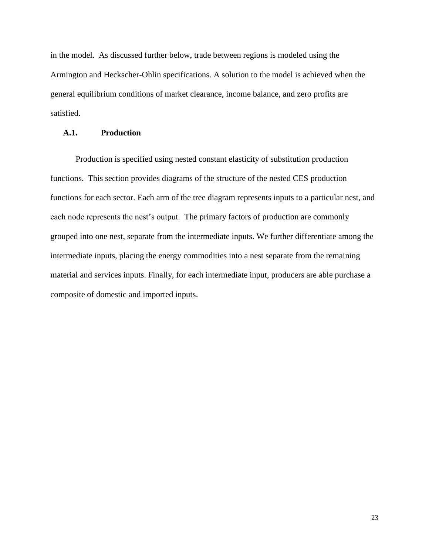in the model. As discussed further below, trade between regions is modeled using the Armington and Heckscher-Ohlin specifications. A solution to the model is achieved when the general equilibrium conditions of market clearance, income balance, and zero profits are satisfied.

### **A.1. Production**

Production is specified using nested constant elasticity of substitution production functions. This section provides diagrams of the structure of the nested CES production functions for each sector. Each arm of the tree diagram represents inputs to a particular nest, and each node represents the nest's output. The primary factors of production are commonly grouped into one nest, separate from the intermediate inputs. We further differentiate among the intermediate inputs, placing the energy commodities into a nest separate from the remaining material and services inputs. Finally, for each intermediate input, producers are able purchase a composite of domestic and imported inputs.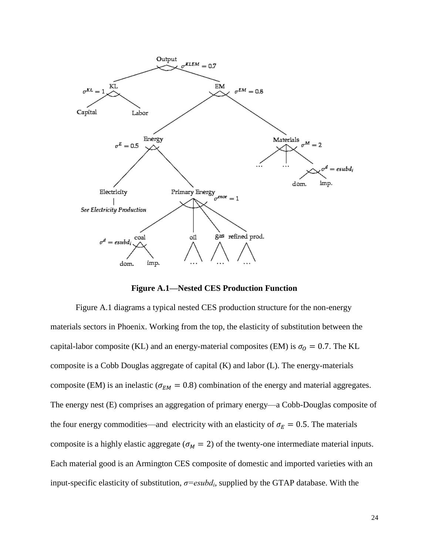

**Figure A.1—Nested CES Production Function**

<span id="page-24-0"></span>[Figure A.1](#page-24-0) diagrams a typical nested CES production structure for the non-energy materials sectors in Phoenix. Working from the top, the elasticity of substitution between the capital-labor composite (KL) and an energy-material composites (EM) is  $\sigma_0 = 0.7$ . The KL composite is a Cobb Douglas aggregate of capital (K) and labor (L). The energy-materials composite (EM) is an inelastic ( $\sigma_{EM} = 0.8$ ) combination of the energy and material aggregates. The energy nest (E) comprises an aggregation of primary energy—a Cobb-Douglas composite of the four energy commodities—and electricity with an elasticity of  $\sigma_E = 0.5$ . The materials composite is a highly elastic aggregate ( $\sigma_M = 2$ ) of the twenty-one intermediate material inputs. Each material good is an Armington CES composite of domestic and imported varieties with an input-specific elasticity of substitution, *σ=esubd<sup>i</sup>* , supplied by the GTAP database. With the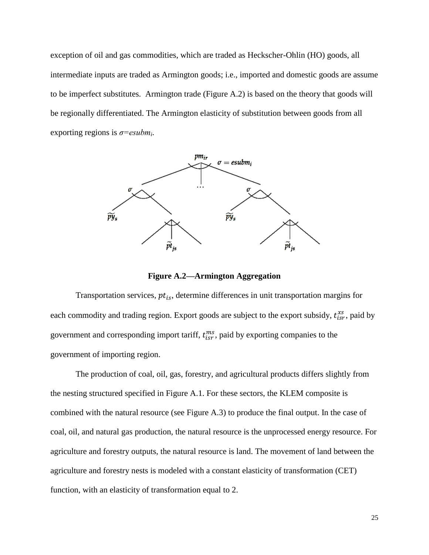exception of oil and gas commodities, which are traded as Heckscher-Ohlin (HO) goods, all intermediate inputs are traded as Armington goods; i.e., imported and domestic goods are assume to be imperfect substitutes. Armington trade [\(Figure A.2\)](#page-25-0) is based on the theory that goods will be regionally differentiated. The Armington elasticity of substitution between goods from all exporting regions is *σ=esubm<sup>i</sup>* .



**Figure A.2—Armington Aggregation**

<span id="page-25-0"></span>Transportation services,  $pt_{is}$ , determine differences in unit transportation margins for each commodity and trading region. Export goods are subject to the export subsidy,  $t_{isr}^{xs}$ , paid by government and corresponding import tariff,  $t_{isr}^{ms}$ , paid by exporting companies to the government of importing region.

The production of coal, oil, gas, forestry, and agricultural products differs slightly from the nesting structured specified in [Figure A.1.](#page-24-0) For these sectors, the KLEM composite is combined with the natural resource (see [Figure A.3\)](#page-26-0) to produce the final output. In the case of coal, oil, and natural gas production, the natural resource is the unprocessed energy resource. For agriculture and forestry outputs, the natural resource is land. The movement of land between the agriculture and forestry nests is modeled with a constant elasticity of transformation (CET) function, with an elasticity of transformation equal to 2.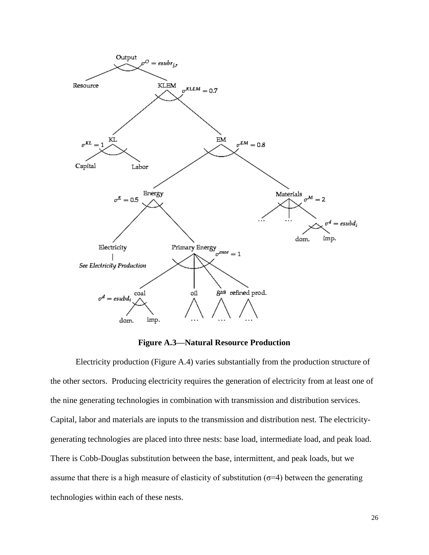

**Figure A.3—Natural Resource Production**

<span id="page-26-0"></span>Electricity production [\(Figure A.4\)](#page-27-0) varies substantially from the production structure of the other sectors. Producing electricity requires the generation of electricity from at least one of the nine generating technologies in combination with transmission and distribution services. Capital, labor and materials are inputs to the transmission and distribution nest. The electricitygenerating technologies are placed into three nests: base load, intermediate load, and peak load. There is Cobb-Douglas substitution between the base, intermittent, and peak loads, but we assume that there is a high measure of elasticity of substitution ( $\sigma$ =4) between the generating technologies within each of these nests.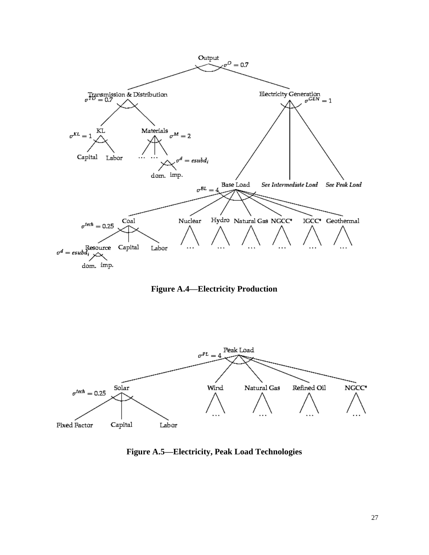

**Figure A.4—Electricity Production**

<span id="page-27-0"></span>

**Figure A.5—Electricity, Peak Load Technologies**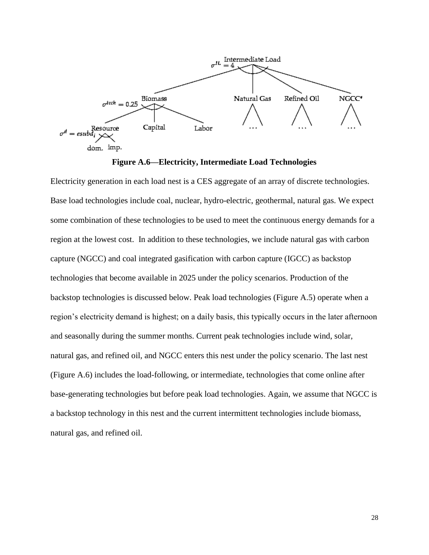

**Figure A.6—Electricity, Intermediate Load Technologies**

Electricity generation in each load nest is a CES aggregate of an array of discrete technologies. Base load technologies include coal, nuclear, hydro-electric, geothermal, natural gas. We expect some combination of these technologies to be used to meet the continuous energy demands for a region at the lowest cost. In addition to these technologies, we include natural gas with carbon capture (NGCC) and coal integrated gasification with carbon capture (IGCC) as backstop technologies that become available in 2025 under the policy scenarios. Production of the backstop technologies is discussed below. Peak load technologies (Figure A.5) operate when a region's electricity demand is highest; on a daily basis, this typically occurs in the later afternoon and seasonally during the summer months. Current peak technologies include wind, solar, natural gas, and refined oil, and NGCC enters this nest under the policy scenario. The last nest (Figure A.6) includes the load-following, or intermediate, technologies that come online after base-generating technologies but before peak load technologies. Again, we assume that NGCC is a backstop technology in this nest and the current intermittent technologies include biomass, natural gas, and refined oil.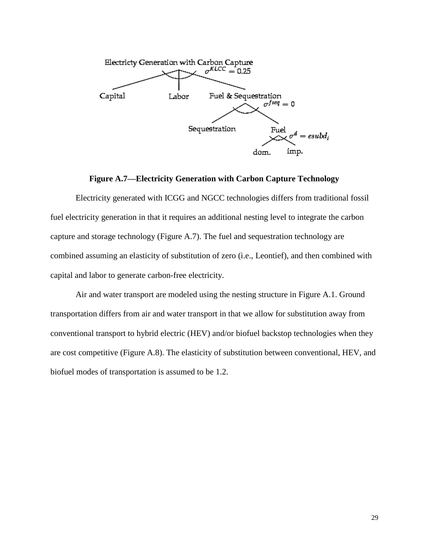

### **Figure A.7—Electricity Generation with Carbon Capture Technology**

<span id="page-29-0"></span>Electricity generated with ICGG and NGCC technologies differs from traditional fossil fuel electricity generation in that it requires an additional nesting level to integrate the carbon capture and storage technology [\(Figure A.7\)](#page-29-0). The fuel and sequestration technology are combined assuming an elasticity of substitution of zero (i.e., Leontief), and then combined with capital and labor to generate carbon-free electricity.

Air and water transport are modeled using the nesting structure in [Figure A.1.](#page-24-0) Ground transportation differs from air and water transport in that we allow for substitution away from conventional transport to hybrid electric (HEV) and/or biofuel backstop technologies when they are cost competitive [\(Figure A.8\)](#page-30-0). The elasticity of substitution between conventional, HEV, and biofuel modes of transportation is assumed to be 1.2.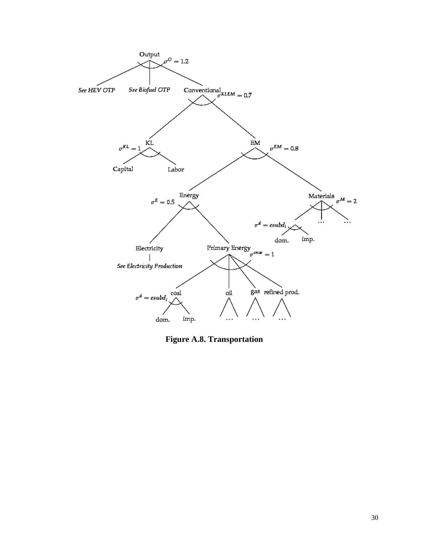

<span id="page-30-0"></span>**Figure A.8. Transportation**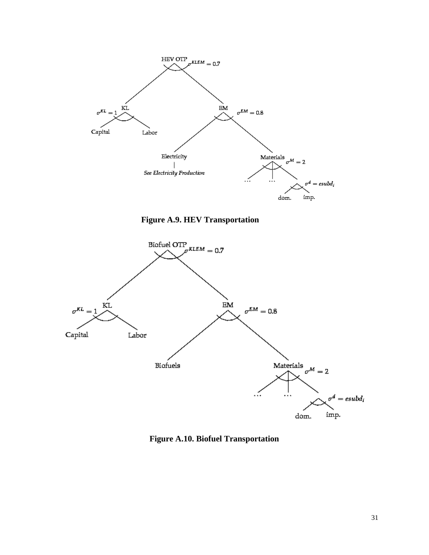

**Figure A.9. HEV Transportation**



**Figure A.10. Biofuel Transportation**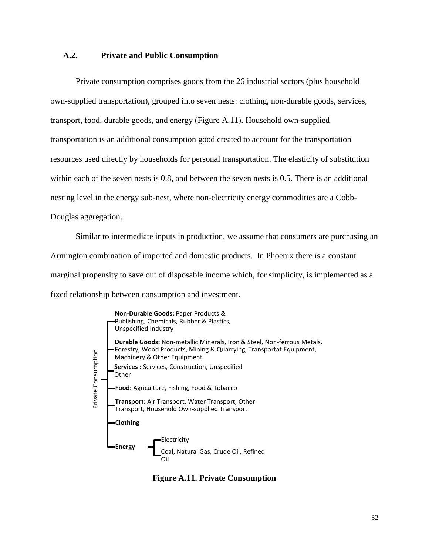### **A.2. Private and Public Consumption**

Private consumption comprises goods from the 26 industrial sectors (plus household own-supplied transportation), grouped into seven nests: clothing, non-durable goods, services, transport, food, durable goods, and energy [\(Figure A.11\)](#page-32-0). Household own-supplied transportation is an additional consumption good created to account for the transportation resources used directly by households for personal transportation. The elasticity of substitution within each of the seven nests is 0.8, and between the seven nests is 0.5. There is an additional nesting level in the energy sub-nest, where non-electricity energy commodities are a Cobb-Douglas aggregation.

Similar to intermediate inputs in production, we assume that consumers are purchasing an Armington combination of imported and domestic products. In Phoenix there is a constant marginal propensity to save out of disposable income which, for simplicity, is implemented as a fixed relationship between consumption and investment.



<span id="page-32-0"></span>**Figure A.11. Private Consumption**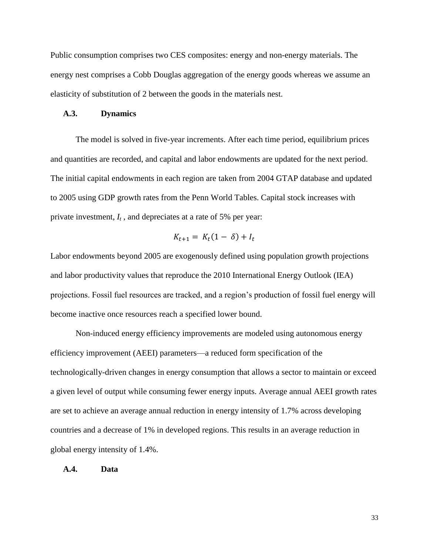Public consumption comprises two CES composites: energy and non-energy materials. The energy nest comprises a Cobb Douglas aggregation of the energy goods whereas we assume an elasticity of substitution of 2 between the goods in the materials nest.

#### **A.3. Dynamics**

The model is solved in five-year increments. After each time period, equilibrium prices and quantities are recorded, and capital and labor endowments are updated for the next period. The initial capital endowments in each region are taken from 2004 GTAP database and updated to 2005 using GDP growth rates from the Penn World Tables. Capital stock increases with private investment, *I<sup>t</sup>* , and depreciates at a rate of 5% per year:

$$
K_{t+1} = K_t(1 - \delta) + I_t
$$

Labor endowments beyond 2005 are exogenously defined using population growth projections and labor productivity values that reproduce the 2010 International Energy Outlook (IEA) projections. Fossil fuel resources are tracked, and a region's production of fossil fuel energy will become inactive once resources reach a specified lower bound.

Non-induced energy efficiency improvements are modeled using autonomous energy efficiency improvement (AEEI) parameters—a reduced form specification of the technologically-driven changes in energy consumption that allows a sector to maintain or exceed a given level of output while consuming fewer energy inputs. Average annual AEEI growth rates are set to achieve an average annual reduction in energy intensity of 1.7% across developing countries and a decrease of 1% in developed regions. This results in an average reduction in global energy intensity of 1.4%.

#### **A.4. Data**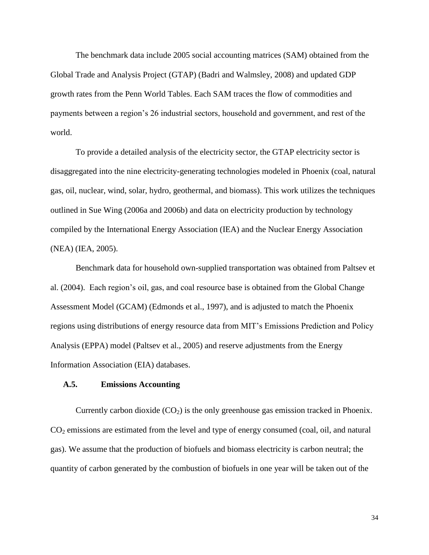The benchmark data include 2005 social accounting matrices (SAM) obtained from the Global Trade and Analysis Project (GTAP) (Badri and Walmsley, 2008) and updated GDP growth rates from the Penn World Tables. Each SAM traces the flow of commodities and payments between a region's 26 industrial sectors, household and government, and rest of the world.

To provide a detailed analysis of the electricity sector, the GTAP electricity sector is disaggregated into the nine electricity-generating technologies modeled in Phoenix (coal, natural gas, oil, nuclear, wind, solar, hydro, geothermal, and biomass). This work utilizes the techniques outlined in Sue Wing (2006a and 2006b) and data on electricity production by technology compiled by the International Energy Association (IEA) and the Nuclear Energy Association (NEA) (IEA, 2005).

Benchmark data for household own-supplied transportation was obtained from Paltsev et al. (2004). Each region's oil, gas, and coal resource base is obtained from the Global Change Assessment Model (GCAM) (Edmonds et al., 1997), and is adjusted to match the Phoenix regions using distributions of energy resource data from MIT's Emissions Prediction and Policy Analysis (EPPA) model (Paltsev et al., 2005) and reserve adjustments from the Energy Information Association (EIA) databases.

### **A.5. Emissions Accounting**

Currently carbon dioxide  $(CO<sub>2</sub>)$  is the only greenhouse gas emission tracked in Phoenix.  $CO<sub>2</sub>$  emissions are estimated from the level and type of energy consumed (coal, oil, and natural gas). We assume that the production of biofuels and biomass electricity is carbon neutral; the quantity of carbon generated by the combustion of biofuels in one year will be taken out of the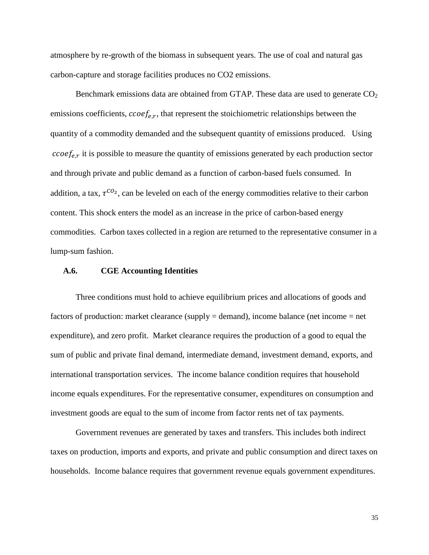atmosphere by re-growth of the biomass in subsequent years. The use of coal and natural gas carbon-capture and storage facilities produces no CO2 emissions.

Benchmark emissions data are obtained from GTAP. These data are used to generate  $CO<sub>2</sub>$ emissions coefficients,  $\text{ccoef}_{e,r}$ , that represent the stoichiometric relationships between the quantity of a commodity demanded and the subsequent quantity of emissions produced. Using  $\text{ccoef}_{ex}$  it is possible to measure the quantity of emissions generated by each production sector and through private and public demand as a function of carbon-based fuels consumed. In addition, a tax,  $\tau^{CO_2}$ , can be leveled on each of the energy commodities relative to their carbon content. This shock enters the model as an increase in the price of carbon-based energy commodities. Carbon taxes collected in a region are returned to the representative consumer in a lump-sum fashion.

### **A.6. CGE Accounting Identities**

Three conditions must hold to achieve equilibrium prices and allocations of goods and factors of production: market clearance (supply = demand), income balance (net income = net expenditure), and zero profit. Market clearance requires the production of a good to equal the sum of public and private final demand, intermediate demand, investment demand, exports, and international transportation services. The income balance condition requires that household income equals expenditures. For the representative consumer, expenditures on consumption and investment goods are equal to the sum of income from factor rents net of tax payments.

Government revenues are generated by taxes and transfers. This includes both indirect taxes on production, imports and exports, and private and public consumption and direct taxes on households. Income balance requires that government revenue equals government expenditures.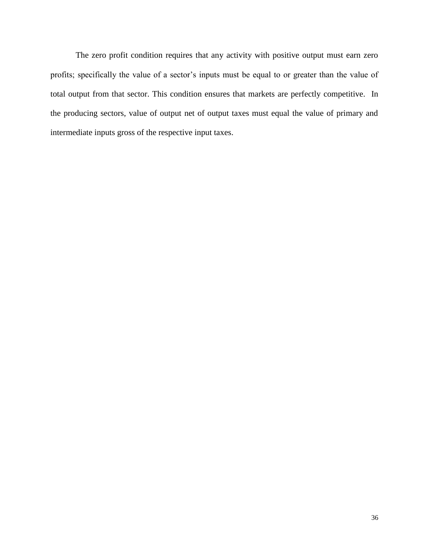The zero profit condition requires that any activity with positive output must earn zero profits; specifically the value of a sector's inputs must be equal to or greater than the value of total output from that sector. This condition ensures that markets are perfectly competitive. In the producing sectors, value of output net of output taxes must equal the value of primary and intermediate inputs gross of the respective input taxes.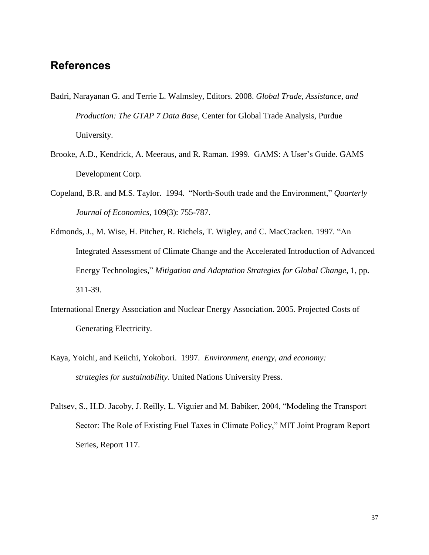# **References**

- Badri, Narayanan G. and Terrie L. Walmsley, Editors. 2008. *Global Trade, Assistance, and Production: The GTAP 7 Data Base,* Center for Global Trade Analysis, Purdue University.
- Brooke, A.D., Kendrick, A. Meeraus, and R. Raman. 1999. GAMS: A User's Guide. GAMS Development Corp.
- Copeland, B.R. and M.S. Taylor. 1994. "North-South trade and the Environment," *Quarterly Journal of Economics*, 109(3): 755-787.
- Edmonds, J., M. Wise, H. Pitcher, R. Richels, T. Wigley, and C. MacCracken. 1997. "An Integrated Assessment of Climate Change and the Accelerated Introduction of Advanced Energy Technologies," *Mitigation and Adaptation Strategies for Global Change*, 1, pp. 311-39.
- International Energy Association and Nuclear Energy Association. 2005. Projected Costs of Generating Electricity.
- Kaya, Yoichi, and Keiichi, Yokobori. 1997. *Environment, energy, and economy: strategies for sustainability*. United Nations University Press.
- Paltsev, S., H.D. Jacoby, J. Reilly, L. Viguier and M. Babiker, 2004, "Modeling the Transport Sector: The Role of Existing Fuel Taxes in Climate Policy," MIT Joint Program Report Series, Report 117.